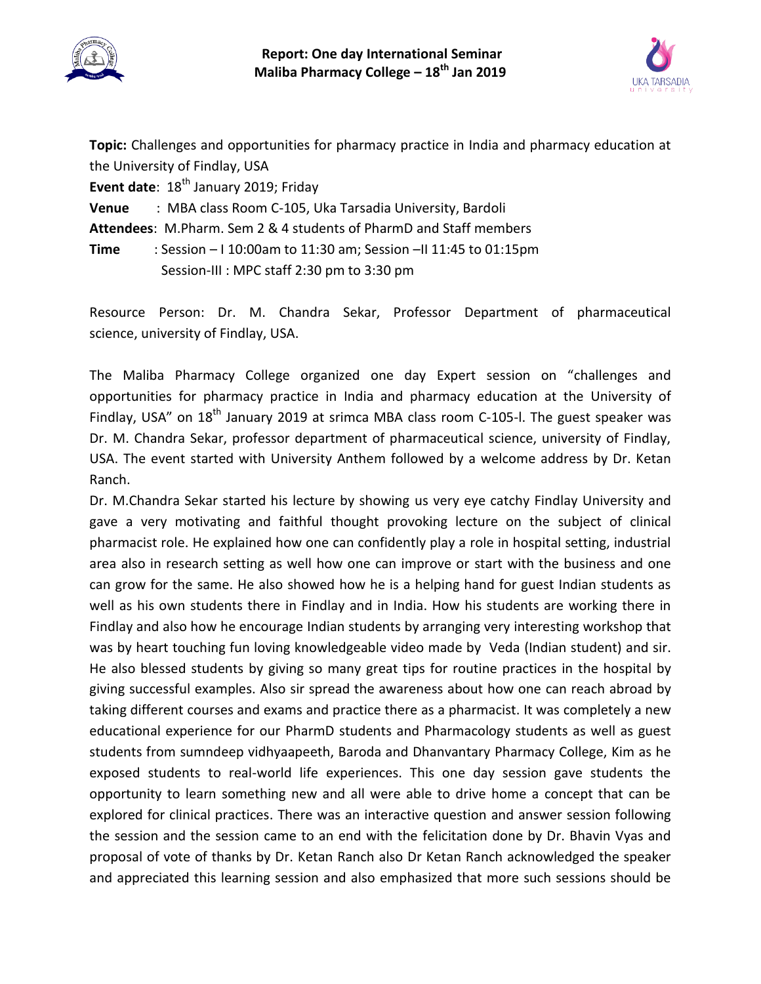



**Topic:** Challenges and opportunities for pharmacy practice in India and pharmacy education at the University of Findlay, USA

**Event date**: 18<sup>th</sup> January 2019; Friday

**Venue** : MBA class Room C-105, Uka Tarsadia University, Bardoli

**Attendees**: M.Pharm. Sem 2 & 4 students of PharmD and Staff members

**Time** : Session – I 10:00am to 11:30 am; Session –II 11:45 to 01:15pm Session-III : MPC staff 2:30 pm to 3:30 pm

Resource Person: Dr. M. Chandra Sekar, Professor Department of pharmaceutical science, university of Findlay, USA.

The Maliba Pharmacy College organized one day Expert session on "challenges and opportunities for pharmacy practice in India and pharmacy education at the University of Findlay, USA" on 18<sup>th</sup> January 2019 at srimca MBA class room C-105-l. The guest speaker was Dr. M. Chandra Sekar, professor department of pharmaceutical science, university of Findlay, USA. The event started with University Anthem followed by a welcome address by Dr. Ketan Ranch.

Dr. M.Chandra Sekar started his lecture by showing us very eye catchy Findlay University and gave a very motivating and faithful thought provoking lecture on the subject of clinical pharmacist role. He explained how one can confidently play a role in hospital setting, industrial area also in research setting as well how one can improve or start with the business and one can grow for the same. He also showed how he is a helping hand for guest Indian students as well as his own students there in Findlay and in India. How his students are working there in Findlay and also how he encourage Indian students by arranging very interesting workshop that was by heart touching fun loving knowledgeable video made by Veda (Indian student) and sir. He also blessed students by giving so many great tips for routine practices in the hospital by giving successful examples. Also sir spread the awareness about how one can reach abroad by taking different courses and exams and practice there as a pharmacist. It was completely a new educational experience for our PharmD students and Pharmacology students as well as guest students from sumndeep vidhyaapeeth, Baroda and Dhanvantary Pharmacy College, Kim as he exposed students to real-world life experiences. This one day session gave students the opportunity to learn something new and all were able to drive home a concept that can be explored for clinical practices. There was an interactive question and answer session following the session and the session came to an end with the felicitation done by Dr. Bhavin Vyas and proposal of vote of thanks by Dr. Ketan Ranch also Dr Ketan Ranch acknowledged the speaker and appreciated this learning session and also emphasized that more such sessions should be